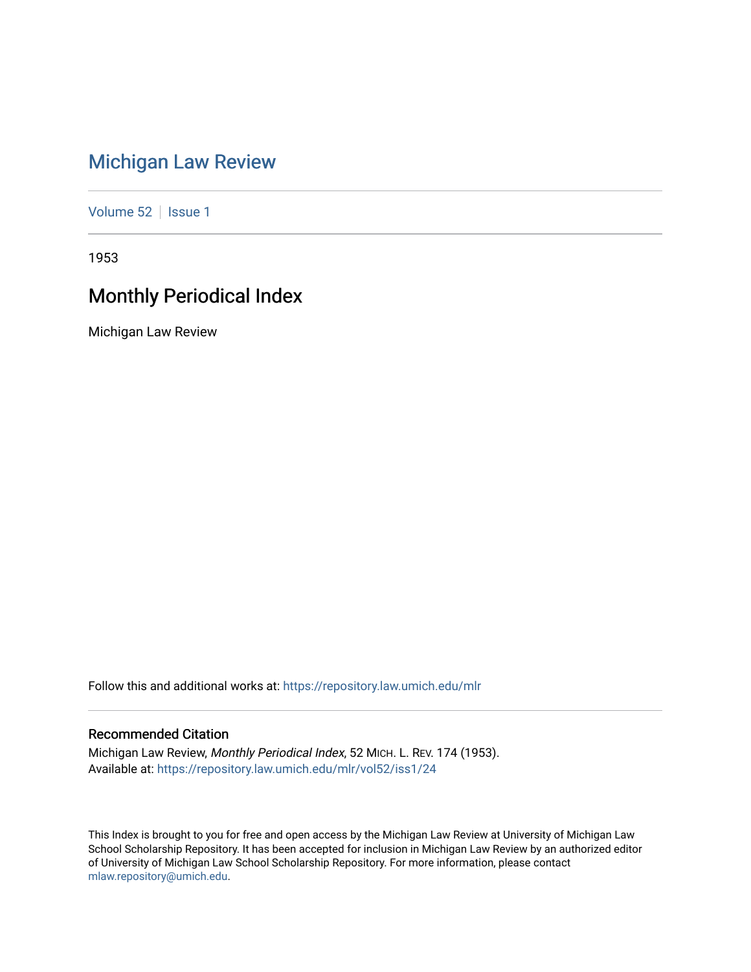# [Michigan Law Review](https://repository.law.umich.edu/mlr)

[Volume 52](https://repository.law.umich.edu/mlr/vol52) | [Issue 1](https://repository.law.umich.edu/mlr/vol52/iss1)

1953

# Monthly Periodical Index

Michigan Law Review

Follow this and additional works at: [https://repository.law.umich.edu/mlr](https://repository.law.umich.edu/mlr?utm_source=repository.law.umich.edu%2Fmlr%2Fvol52%2Fiss1%2F24&utm_medium=PDF&utm_campaign=PDFCoverPages) 

## Recommended Citation

Michigan Law Review, Monthly Periodical Index, 52 MICH. L. REV. 174 (1953). Available at: [https://repository.law.umich.edu/mlr/vol52/iss1/24](https://repository.law.umich.edu/mlr/vol52/iss1/24?utm_source=repository.law.umich.edu%2Fmlr%2Fvol52%2Fiss1%2F24&utm_medium=PDF&utm_campaign=PDFCoverPages) 

This Index is brought to you for free and open access by the Michigan Law Review at University of Michigan Law School Scholarship Repository. It has been accepted for inclusion in Michigan Law Review by an authorized editor of University of Michigan Law School Scholarship Repository. For more information, please contact [mlaw.repository@umich.edu.](mailto:mlaw.repository@umich.edu)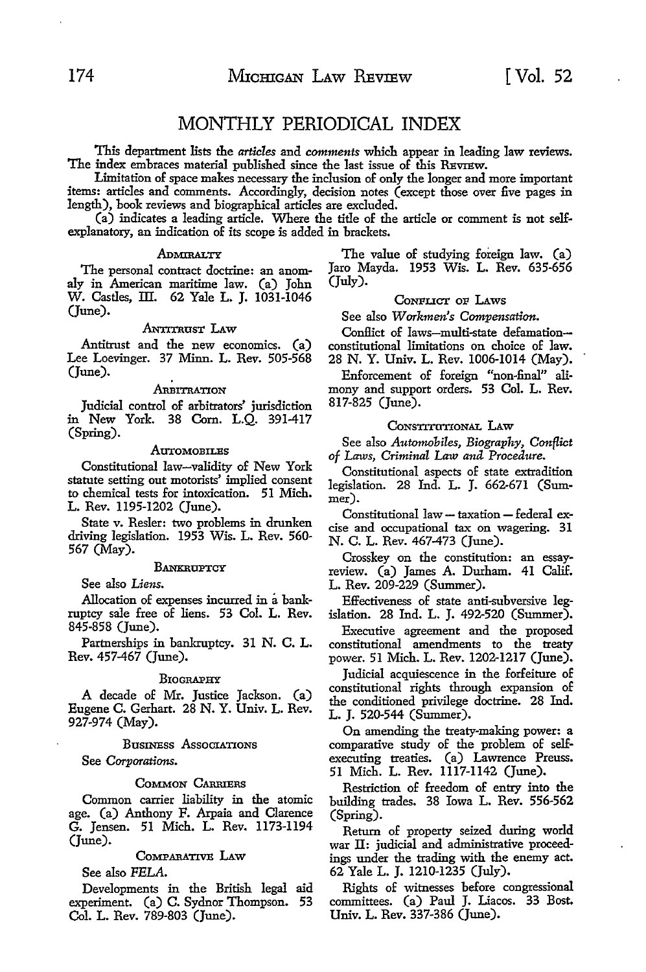## MONTHLY PERIODICAL INDEX

This department lists the *articles* and *comments* which appear in leading law reviews. The index embraces material published since the last issue of this REVIEW.

Limitation of space makes necessary the inclusion of only the longer and more important items: articles and comments. Accordingly, decision notes (except those over five pages in length), book reviews and biographical articles are excluded.

(a) indicates a leading article, Where the title of the article or comment is not selfexplanatory, an indication of its scope is added in brackets.

The personal contract doctrine: an anom-<br>q in American maritime law. (a) John (July). aly in American maritime law. (a) John W. Castles, III. 62 Yale L. J. 1031-1046 (June).

#### ANTITRUST LAW

Antitrust and the new economics. (a) Lee Loevinger. 37 Minn. L. Rev. 505-568 (June).

#### **ARBITRATION**

Judicial control of arbitrators' jurisdiction in New York. 38 Com. L.Q. 391-417 (Spring).

#### **AUTOMOBILES**

Constitutional law-validity of New York statute setting out motorists' implied consent to chemical tests for intoxication. 51 Mich. L. Rev. 1195-1202 (June).

State v. Resler: two problems in drunken driving legislation. 1953 Wis. L. Rev. 560- 567 (May).

#### **BANKRUPTCY**

See also *Liens.* 

Allocation of expenses incurred in a bankruptcy sale free of liens. 53 Col. L. Rev. 845-858 (June).

Partnerships in bankruptcy. 31 N. C. L. Rev. 457-467 (June).

#### **BIOGRAPHY**

A decade of Mr. Justice Jackson. (a) Eugene C. Gerhart. 28 N. Y. Univ. L. Rev. 927-974 (May).

#### Business Associations

See *Corporations.* 

#### COMMON CARRIERS

Common carrier liability in the atomic age. (a) Anthony F. Arpaia and Clarence G. Jensen. 51 Mich. L. Rev. 1173-1194 (June).

#### CoMPARATIVE LAw

See also *PELA.* 

Developments in the British legal aid experiment. (a) C. Sydnor Thompson. 53 Col. L. Rev. 789-803 (June),

ADMIRALTY The value of studying foreign law. (a)<br>
contract doctrine: an anom- Jaro Mayda. 1953 Wis. L. Rev. 635-656

#### CoNFLICT oF LAws

See also *Workmen's Compensation.* 

Conflict of laws-multi-state defamationconstitutional limitations on choice of law. 28 N. Y. Univ. L. Rev. 1006-1014 (May).

Enforcement of foreign "non-final" alimony and support orders. 53 Col. L. Rev. 817-825 (June).

#### CONSTITUTIONAL LAW

See also *Automobiles, Biography, Conflict of Laws, Criminal Law and Procedure.* 

Constitutional aspects of state extradition legislation. 28 Ind. L. J. 662-671 (Summer).

Constitutional law - taxation - federal ex- cise and occupational tax on wagering. 31 N. C. L. Rev. 467-473 (June).

Crosskey on the constitution: an essayreview. (a) James A. Durham. 41 Calif. L. Rev. 209-229 (Summer).

Effectiveness of state anti-subversive legislation. 28 Ind. L. J. 492-520 (Summer).

Executive agreement and the proposed constitutional amendments to the treaty power. 51 Mich. L. Rev. 1202-1217 (June).

Judicial acquiescence in the forfeiture of constitutional rights through expansion of the conditioned privilege doctrine. 28 Ind. L. J. 520-544 (Summer).

On amending the treaty-making power: a comparative study of the problem of selfexecuting treaties. (a) Lawrence Preuss. 51 Mich. L. Rev. 1117-1142 (June).

Restriction of freedom of entry into the building trades. 38 Iowa L. Rev. 556-562 (Spring).

Return of property seized during world war II: judicial and administrative proceedings under the trading with the enemy act. 62 Yale L. J. 1210-1235 (July).

Rights of witnesses before congressional committees. (a) Paul J. Liacos. 33 Bost. Univ. L. Rev. 337-386 (June).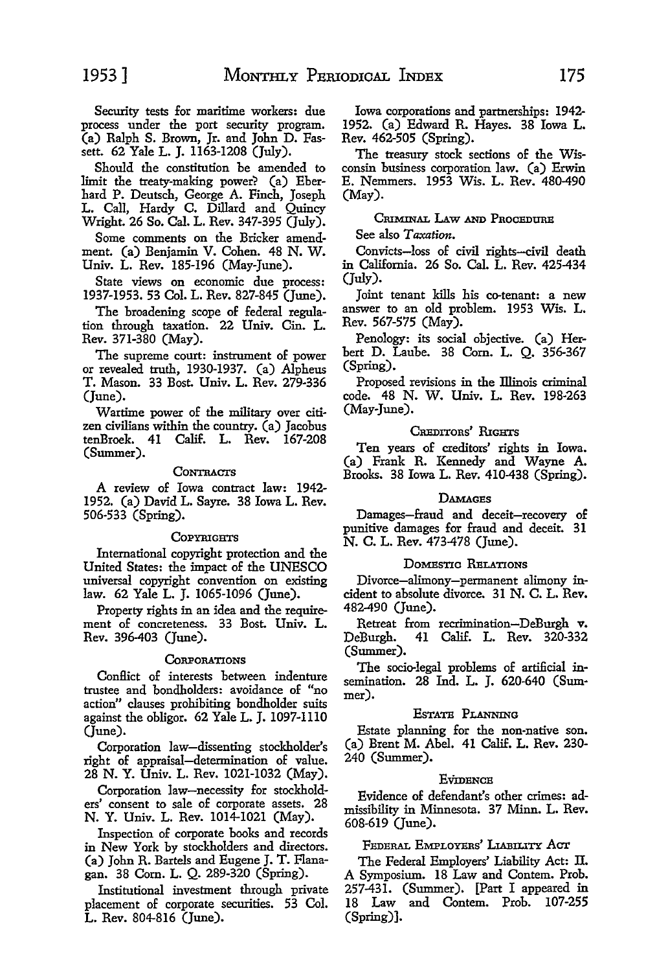Security tests for maritime workers: due process under the port security program. (a) Ralph S. Brown, Jr. and John D. Fassett. 62 Yale L. J. 1163-1208 (July).

Should the constitution be amended to limit the treaty-making power? (a) Eberhard P. Deutsch, George A. Finch, Joseph L. Call, Hardy C. Dillard and Quincy Wright. 26 So. Cal. L. Rev. 347-395 (July).

Some comments on the Bricker amendment. (a) Benjamin V. Cohen. 48 N. W. Univ. L. Rev. 185-196 (May-June).

State views on economic due process: 1937-1953. 53 Col. L. Rev. 827-845 (June).

The broadening scope of federal regulation through taxation. 22 Univ. Cin. L. Rev. 371-380 (May).

The supreme court: instrument of power or revealed truth, 1930-1937. (a) Alpheus T. Mason. 33 Bost. Univ. L. Rev. 279-336 (June).

Wartime power of the military over citizen civilians within the country. (a) Jacobus tenBroek. 41 Calif. L. Rev. 167-208 (Summer).

#### CONTRACTS

A review of Iowa contract law: 1942- 1952. (a) David L. Sayre. 38 Iowa L. Rev. 506-533 (Spring).

#### **COPYRIGHTS**

International copyright protection and the United States: the impact of the UNESCO universal copyright convention on existing law. 62 Yale L. J. 1065-1096 (June).

Property rights in an idea and the requirement of concreteness. 33 Bost. Univ. L. Rev. 396-403 (June).

#### **CORPORATIONS**

ConHict of interests between indenture trustee and bondholders: avoidance of "no action" clauses prohibiting bondholder suits against the obligor. 62 Yale L. J. 1097-1110 (June).

Corporation law-dissenting stockholder's right of appraisal-determination of value. 28 N. Y. Univ. L. Rev. 1021-1032 (May).

Corporation law-necessity for stockholders' consent to sale of corporate assets. 28 N. Y. Univ. L. Rev. 1014-1021 (May).

Inspection of corporate books and records in New York by stockholders and directors. (a) John R. Bartels and Eugene J. T. Flanagan. 38 Com. L. Q. 289-320 (Spring).

Institutional investment through private placement of corporate securities. 53 Col. L. Rev. 804-816 (June).

Iowa corporations and partnerships: 1942- 1952. (a) Edward R. Hayes. 38 Iowa L. Rev. 462-505 (Spring).

The treasury stock sections of the Wisconsin business corporation law. (a) Erwin E. Nemmers. 1953 Wis. L. Rev. 480-490 (May).

### CRIMINAL LAW AND PROCEDURE

#### See also *Taxation.*

Convicts-loss of civil rights-civil death in California. 26 So. Cal. L. Rev. 425-434 (July).

Joint tenant kills his co-tenant: a new answer to an old problem. 1953 Wis. L. Rev. 567-575 (May).

Penology: its social objective. (a) Herbert D. Laube. 38 Com. L. Q. 356-367 (Spring).

Proposed revisions in the Illinois criminal code. 48 N. W. Univ. L. Rev. 198-263 (May-June).

#### CnEDITons' RrGHTS

Ten years of creditors' rights in Iowa. (a) Frank R. Kennedy and Wayne A. Brooks. 38 Iowa L. Rev. 410-438 (Spring).

#### **DAMAGES**

Damages-fraud and deceit-recovery of punitive damages for fraud and deceit. 31 N. C. L. Rev. 473-478 (June).

#### DOMESTIC RELATIONS

Divorce-alimony-permanent alimony incident to absolute divorce. 31 N. C. L. Rev. 482-490 (June).

Retreat from recrimination-DeBurgh v. DeBurgh. 41 Calif. L. Rev. 320-332 (Summer).

The socio-legal problems of artificial insemination. 28 Ind. L. J. 620-640 (Summer).

#### EsTATB PLANNING

Estate planning for the non-native son. (a) Brent M. Abel. 41 Calif. L. Rev. 230- 240 (Summer).

#### **E**VIDENCE

Evidence of defendant's other crimes: admissibility in Minnesota. 37 Minn. L. Rev. 608-619 (June).

#### FEDERAL EMPLOY1ms' LrABILITY *Aar*

The Federal Employers' Liability Act: II. A Symposium. 18 Law and Contem. Prob. 257-431. (Summer). [Part I appeared in 18 Law and Contem. Prob. 107-255 (Spring)].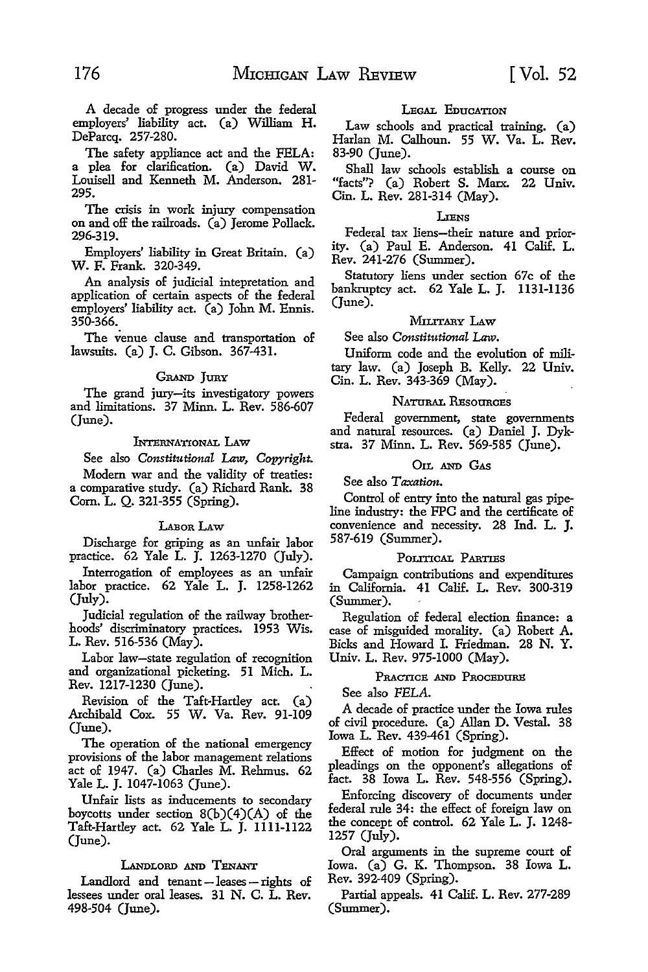A decade of progress under the federal employers' liability act (a) William H. DeParcq. 257-280.

The safety appliance act and the FELA: a plea for clarification. (a) David W. Louisell and Kenneth M. Anderson. 281- 295.

The crisis in work injury compensation on and off the railroads. (a) Jerome Pollack. 296-319.

Employers' liability in Great Britain. (a) **W. F.** Frank. 320-349.

An analysis of judicial intepretation and application of certain aspects of the federal employers' liability act. (a) John M. Ennis. 350-366.

The venue clause and transportation of lawsuits. (a) J. C. Gibson. 367-431.

#### GRAND JURY

The grand jury-its investigatory powers and limitations. 37 Minn. L. Rev. 586-607 (June).

#### lNTERNATIONAL LAw

See also *Constitutional* Law, *Copyright.* 

Modern war and the validity of treaties: a comparative study. (a) Richard Rank. 38 Com. L. Q. 321-355 (Spring).

#### LABOR LAW

Discharge for griping as an unfair labor practice. 62 Yale L. J. 1263-1270 (July).

Interrogation of employees as an unfair labor practice. 62 Yale L. J. 1258-1262 (July).

Judicial regulation of the railway brotherhoods' discriminatory practices. 1953 Wis. L. Rev. 516-536 (May).

Labor law-state regulation of recognition and organizational picketing. 51 Mich. L. Rev. 1217-1230 (June).

Revision of the Taft-Hartley act (a) Archibald Cox. 55 W. Va. Rev. 91-109 (June).

The operation of the national emergency provisions of the labor management relations act of 1947. (a) Charles M. Rehmus. 62 Yale L. J. 1047-1063 (June).

Unfair lists as inducements to secondary boycotts under section  $8(b)(4)(A)$  of the Taft-Hartley act. 62 Yale L. J. 1111-1122 (June).

#### LANDLORD AND TENANT

Landlord and tenant  $-$  leases  $-$  rights of lessees under oral leases. 31 N. C. L. Rev. 498-504 (June).

#### LEGAL EDUCATION

Law schools and practical training. (a) Harlan M. Calhoun. 55 W. Va. L. Rev. 83-90 (June).

Shall law schools establish a course on "facts"? (a) Robert S. Marx. 22 Univ. Cin. L. Rev. 281-314 (May).

#### LIENS

Federal tax liens-their nature and priority. (a) Paul E. Anderson. 41 Calif. L. Rev. 241-276 (Summer).

Statutory liens under section 67c of the bankruptcy act. 62 Yale L. J. 1131-1136 (June).

#### MILITARY LAW

See also *Constitutional* Law.

Uniform code and the evolution of military law. (a) Joseph B. Kelly. 22 Univ. Cin. L. Rev. 343-369 (May).

#### NATURAL RESOURCES

Federal government, state governments and natural resources. (a) Daniel J. Dykstra. 37 Minn. L. Rev. 569-585 (June).

#### 01L AND GAS

See also *Taxation.* 

Control of entry into the natural gas pipeline industry: the FPC and the certificate of convenience and necessity. 28 Ind. L. J. 587-619 (Summer).

#### POLITICAL PARTIES

Campaign contributions and expenditures in California. 41 Calif. L. Rev. 300-319 (Summer).

Regulation of federal election finance: a case of misguided morality. (a) Robert A. Bicks and Howard I. Friedman. 28 **N. Y.**  Univ. L. Rev. 975-1000 (May).

#### PRACTICE AND PROCEDURE

See also FELA.

A decade of practice under the Iowa rules of civil procedure. (a) Allan D. Vestal. 38 Iowa L. Rev. 439-461 (Spring).

Effect of motion for judgment on the pleadings on the opponent's allegations of fact. 38 Iowa L. Rev. 548-556 (Spring).

Enforcing discovery of documents under federal rule 34: the effect of foreign law on the concept of control. 62 Yale L. J. 1248- 1257 (July).

Oral arguments in the supreme court of Iowa. (a) G. K. Thompson. 38 Iowa L. Rev. 392-409 (Spring).

Partial appeals. 41 Calif. L. Rev. 277-289 (Summer).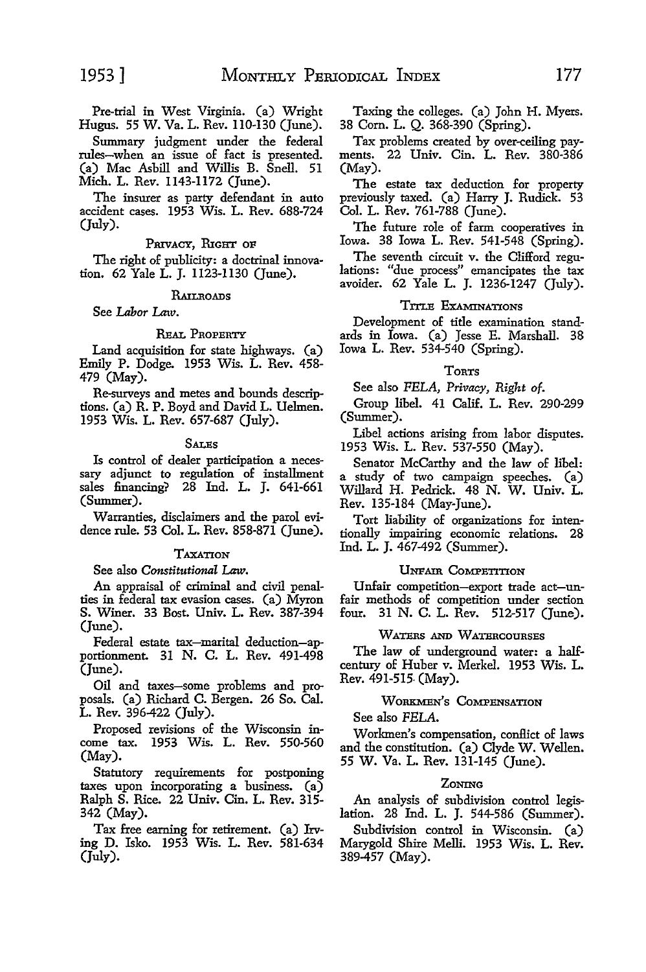Pre-trial in West Virginia. (a) Wright Hugus. 55 W. Va. L. Rev. ll0-130 (June).

Summary judgment under the federal rules-when an issue of fact is presented. (a) Mac Asbill and Willis B. Snell. 51 Mich. L. Rev. ll43-ll72 (June).

The insurer as party defendant in auto accident cases. 1953 Wis. L. Rev. 688-724 (July).

#### PRIVACY, RIGHT OF

The right of publicity: a doctrinal innovation. 62 Yale L. J. ll23-ll30 (June).

#### **RAILROADS**

See *Labor Law.* 

#### REAL PROPERTY

Land acquisition for state highways. (a) Emily P. Dodge. 1953 Wis. L. Rev. 458- 479 (May).

Re-surveys and metes and bounds descriptions. (a) R. P. Boyd and David L. Uelmen. 1953 Wis. L. Rev. 657-687 (July).

#### **SALES**

Is control of dealer participation a neces- sary adjunct to regulation of installment sales financing? 28 Ind. L. J. 641-661 (Summer).

Warranties, disclaimers and the parol evidence rule. 53 Col. L. Rev. 858-871 (June).

#### **TAXATION**

See also *Constitutional* Law.

An appraisal of criminal and civil penalties in federal tax evasion cases. (a) Myron **S.** Winer. 33 Bost. Univ. L. Rev. 387-394 (June).

Federal estate tax-marital deduction-apportionment. 31 N. C. L. Rev. 491-498 (June).

Oil and taxes-some problems and proposals. (a) Richard C. Bergen. 26 So. Cal. L. Rev. 396-422 (July).

Proposed revisions of the Wisconsin income tax. 1953 Wis. L. Rev. 550-560 (May).

Statutory requirements for postponing taxes upon incorporating a business. (a) Ralph S. Rice. 22 Univ. Cin. L. Rev. 315- 342 (May).

Tax free earning for retirement. (a) Irving D. Isko. 1953 Wis. L. Rev. 581-634 (July).

Taxing the colleges. (a) John H. Myers. 38 Com. L. Q. 368-390 (Spring).

Tax problems created by over-ceiling payments. 22 Univ. Cin. L. Rev. 380-386 (May).

The estate tax deduction for property previously taxed. (a) Harry J. Rudick. 53 Col. L. Rev. 761-788 (June).

The future role of farm cooperatives in Iowa. 38 Iowa L. Rev. 541-548 (Spring).

The seventh circuit v. the Clifford regulations: "due process" emancipates the tax avoider. 62 Yale L. J. 1236-1247 (July).

### TITLE EXAMINATIONS

Development of title examination standards in Iowa. (a) Jesse E. Marshall. 38 Iowa L. Rev. 534-540 (Spring).

#### **TORTS**

See also *PELA, Privacy, Right of.* 

Group libel. 41 Calif. L. Rev. 290-299 (Summer).

Libel actions arising from labor disputes. 1953 Wis. L. Rev. 537-550 (May).

Senator McCarthy and the law of libel: a study of two campaign speeches. (a) Willard H. Pedrick. 48 N. W. Univ. L. Rev. 135-184 (May-June).

Tort liability of organizations for intentionally impairing economic relations. 28 Ind. L. J. 467-492 (Summer).

#### UNFAIR COMPETITION

Unfair competition-export trade act-unfair methods of competition under section<br>four, 31 N. C. L. Bey. 512-517 (June). 31 N. C. L. Rev. 512-517 (June).

#### WATERS AND WATERCOURSES

The law of underground water: a halfcentury of Huber v. Merkel. 1953 Wis. L. Rev. 491-515- (May).

#### WORKMEN'S COMPENSATION

See also *PELA.* 

Workmen's compensation, conllict of laws and the constitution. (a) Clyde W. Wellen. 55 W. Va. L. Rev. 131-145 (June).

#### **ZONING**

An analysis of subdivision control legislation. 28 Ind. L. J. 544-586 (Summer).

Subdivision control in Wisconsin. (a) Marygold Shire Melli. 1953 Wis. L. Rev. 389-457 (May).